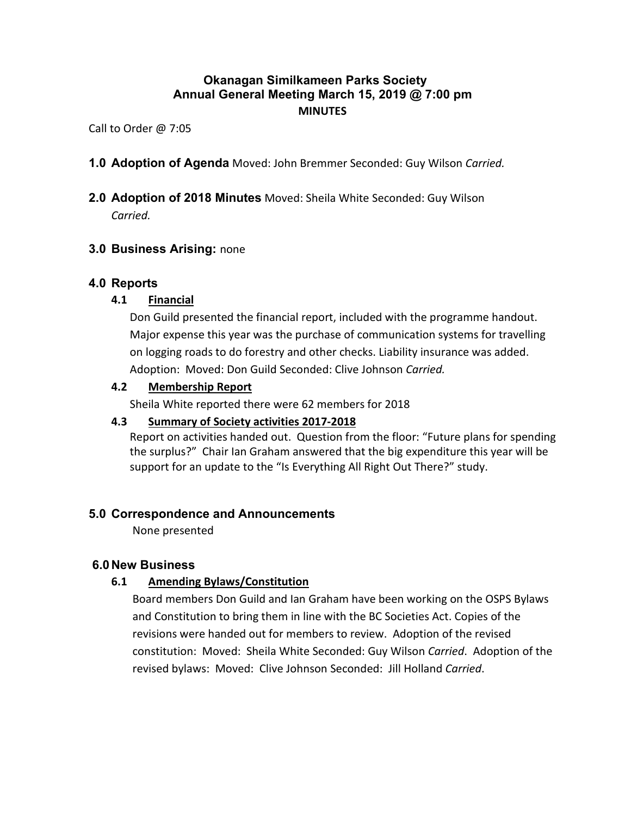# **Okanagan Similkameen Parks Society Annual General Meeting March 15, 2019 @ 7:00 pm MINUTES**

Call to Order @ 7:05

**1.0 Adoption of Agenda** Moved: John Bremmer Seconded: Guy Wilson *Carried.*

# **2.0 Adoption of 2018 Minutes** Moved: Sheila White Seconded: Guy Wilson

*Carried.*

# **3.0 Business Arising:** none

# **4.0 Reports**

# **4.1 Financial**

Don Guild presented the financial report, included with the programme handout. Major expense this year was the purchase of communication systems for travelling on logging roads to do forestry and other checks. Liability insurance was added. Adoption: Moved: Don Guild Seconded: Clive Johnson *Carried.*

# **4.2 Membership Report**

Sheila White reported there were 62 members for 2018

#### **4.3 Summary of Society activities 2017-2018**

Report on activities handed out. Question from the floor: "Future plans for spending the surplus?" Chair Ian Graham answered that the big expenditure this year will be support for an update to the "Is Everything All Right Out There?" study.

# **5.0 Correspondence and Announcements**

None presented

# **6.0New Business**

# **6.1 Amending Bylaws/Constitution**

Board members Don Guild and Ian Graham have been working on the OSPS Bylaws and Constitution to bring them in line with the BC Societies Act. Copies of the revisions were handed out for members to review. Adoption of the revised constitution: Moved: Sheila White Seconded: Guy Wilson *Carried*. Adoption of the revised bylaws: Moved: Clive Johnson Seconded: Jill Holland *Carried*.